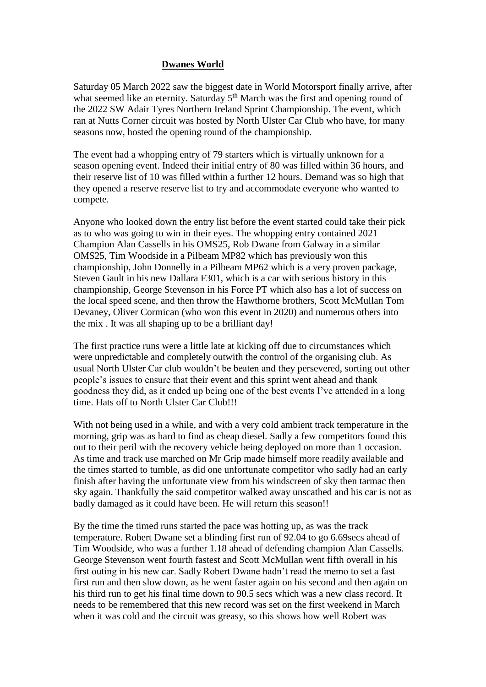#### **Dwanes World**

Saturday 05 March 2022 saw the biggest date in World Motorsport finally arrive, after what seemed like an eternity. Saturday  $5<sup>th</sup>$  March was the first and opening round of the 2022 SW Adair Tyres Northern Ireland Sprint Championship. The event, which ran at Nutts Corner circuit was hosted by North Ulster Car Club who have, for many seasons now, hosted the opening round of the championship.

The event had a whopping entry of 79 starters which is virtually unknown for a season opening event. Indeed their initial entry of 80 was filled within 36 hours, and their reserve list of 10 was filled within a further 12 hours. Demand was so high that they opened a reserve reserve list to try and accommodate everyone who wanted to compete.

Anyone who looked down the entry list before the event started could take their pick as to who was going to win in their eyes. The whopping entry contained 2021 Champion Alan Cassells in his OMS25, Rob Dwane from Galway in a similar OMS25, Tim Woodside in a Pilbeam MP82 which has previously won this championship, John Donnelly in a Pilbeam MP62 which is a very proven package, Steven Gault in his new Dallara F301, which is a car with serious history in this championship, George Stevenson in his Force PT which also has a lot of success on the local speed scene, and then throw the Hawthorne brothers, Scott McMullan Tom Devaney, Oliver Cormican (who won this event in 2020) and numerous others into the mix . It was all shaping up to be a brilliant day!

The first practice runs were a little late at kicking off due to circumstances which were unpredictable and completely outwith the control of the organising club. As usual North Ulster Car club wouldn't be beaten and they persevered, sorting out other people's issues to ensure that their event and this sprint went ahead and thank goodness they did, as it ended up being one of the best events I've attended in a long time. Hats off to North Ulster Car Club!!!

With not being used in a while, and with a very cold ambient track temperature in the morning, grip was as hard to find as cheap diesel. Sadly a few competitors found this out to their peril with the recovery vehicle being deployed on more than 1 occasion. As time and track use marched on Mr Grip made himself more readily available and the times started to tumble, as did one unfortunate competitor who sadly had an early finish after having the unfortunate view from his windscreen of sky then tarmac then sky again. Thankfully the said competitor walked away unscathed and his car is not as badly damaged as it could have been. He will return this season!!

By the time the timed runs started the pace was hotting up, as was the track temperature. Robert Dwane set a blinding first run of 92.04 to go 6.69secs ahead of Tim Woodside, who was a further 1.18 ahead of defending champion Alan Cassells. George Stevenson went fourth fastest and Scott McMullan went fifth overall in his first outing in his new car. Sadly Robert Dwane hadn't read the memo to set a fast first run and then slow down, as he went faster again on his second and then again on his third run to get his final time down to 90.5 secs which was a new class record. It needs to be remembered that this new record was set on the first weekend in March when it was cold and the circuit was greasy, so this shows how well Robert was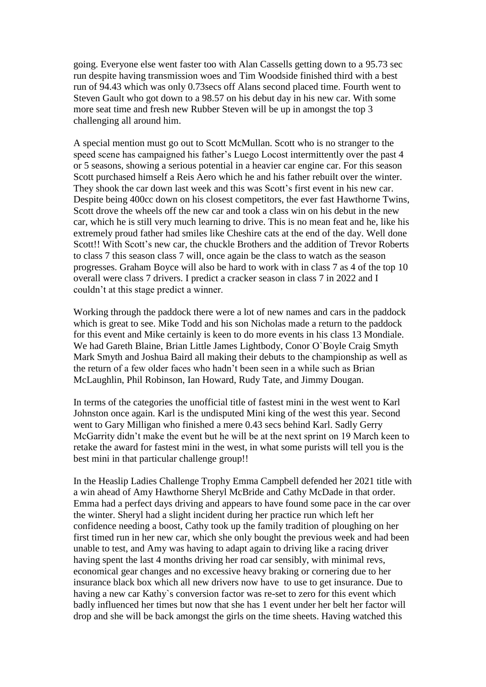going. Everyone else went faster too with Alan Cassells getting down to a 95.73 sec run despite having transmission woes and Tim Woodside finished third with a best run of 94.43 which was only 0.73secs off Alans second placed time. Fourth went to Steven Gault who got down to a 98.57 on his debut day in his new car. With some more seat time and fresh new Rubber Steven will be up in amongst the top 3 challenging all around him.

A special mention must go out to Scott McMullan. Scott who is no stranger to the speed scene has campaigned his father's Luego Locost intermittently over the past 4 or 5 seasons, showing a serious potential in a heavier car engine car. For this season Scott purchased himself a Reis Aero which he and his father rebuilt over the winter. They shook the car down last week and this was Scott's first event in his new car. Despite being 400cc down on his closest competitors, the ever fast Hawthorne Twins, Scott drove the wheels off the new car and took a class win on his debut in the new car, which he is still very much learning to drive. This is no mean feat and he, like his extremely proud father had smiles like Cheshire cats at the end of the day. Well done Scott!! With Scott's new car, the chuckle Brothers and the addition of Trevor Roberts to class 7 this season class 7 will, once again be the class to watch as the season progresses. Graham Boyce will also be hard to work with in class 7 as 4 of the top 10 overall were class 7 drivers. I predict a cracker season in class 7 in 2022 and I couldn't at this stage predict a winner.

Working through the paddock there were a lot of new names and cars in the paddock which is great to see. Mike Todd and his son Nicholas made a return to the paddock for this event and Mike certainly is keen to do more events in his class 13 Mondiale. We had Gareth Blaine, Brian Little James Lightbody, Conor O`Boyle Craig Smyth Mark Smyth and Joshua Baird all making their debuts to the championship as well as the return of a few older faces who hadn't been seen in a while such as Brian McLaughlin, Phil Robinson, Ian Howard, Rudy Tate, and Jimmy Dougan.

In terms of the categories the unofficial title of fastest mini in the west went to Karl Johnston once again. Karl is the undisputed Mini king of the west this year. Second went to Gary Milligan who finished a mere 0.43 secs behind Karl. Sadly Gerry McGarrity didn't make the event but he will be at the next sprint on 19 March keen to retake the award for fastest mini in the west, in what some purists will tell you is the best mini in that particular challenge group!!

In the Heaslip Ladies Challenge Trophy Emma Campbell defended her 2021 title with a win ahead of Amy Hawthorne Sheryl McBride and Cathy McDade in that order. Emma had a perfect days driving and appears to have found some pace in the car over the winter. Sheryl had a slight incident during her practice run which left her confidence needing a boost, Cathy took up the family tradition of ploughing on her first timed run in her new car, which she only bought the previous week and had been unable to test, and Amy was having to adapt again to driving like a racing driver having spent the last 4 months driving her road car sensibly, with minimal revs, economical gear changes and no excessive heavy braking or cornering due to her insurance black box which all new drivers now have to use to get insurance. Due to having a new car Kathy`s conversion factor was re-set to zero for this event which badly influenced her times but now that she has 1 event under her belt her factor will drop and she will be back amongst the girls on the time sheets. Having watched this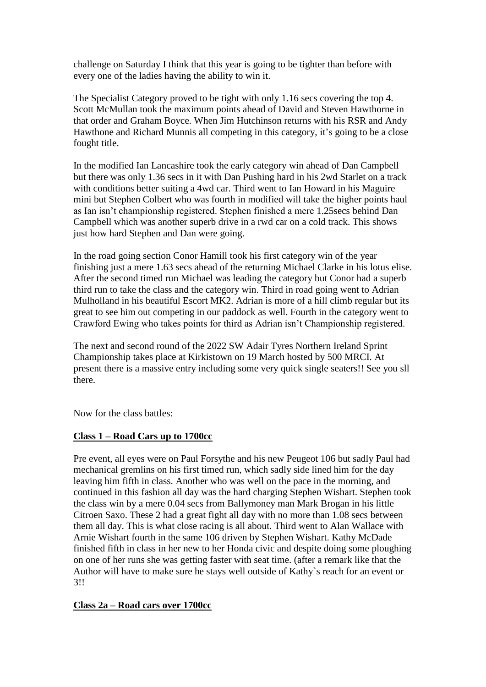challenge on Saturday I think that this year is going to be tighter than before with every one of the ladies having the ability to win it.

The Specialist Category proved to be tight with only 1.16 secs covering the top 4. Scott McMullan took the maximum points ahead of David and Steven Hawthorne in that order and Graham Boyce. When Jim Hutchinson returns with his RSR and Andy Hawthone and Richard Munnis all competing in this category, it's going to be a close fought title.

In the modified Ian Lancashire took the early category win ahead of Dan Campbell but there was only 1.36 secs in it with Dan Pushing hard in his 2wd Starlet on a track with conditions better suiting a 4wd car. Third went to Ian Howard in his Maguire mini but Stephen Colbert who was fourth in modified will take the higher points haul as Ian isn't championship registered. Stephen finished a mere 1.25secs behind Dan Campbell which was another superb drive in a rwd car on a cold track. This shows just how hard Stephen and Dan were going.

In the road going section Conor Hamill took his first category win of the year finishing just a mere 1.63 secs ahead of the returning Michael Clarke in his lotus elise. After the second timed run Michael was leading the category but Conor had a superb third run to take the class and the category win. Third in road going went to Adrian Mulholland in his beautiful Escort MK2. Adrian is more of a hill climb regular but its great to see him out competing in our paddock as well. Fourth in the category went to Crawford Ewing who takes points for third as Adrian isn't Championship registered.

The next and second round of the 2022 SW Adair Tyres Northern Ireland Sprint Championship takes place at Kirkistown on 19 March hosted by 500 MRCI. At present there is a massive entry including some very quick single seaters!! See you sll there.

Now for the class battles:

### **Class 1 – Road Cars up to 1700cc**

Pre event, all eyes were on Paul Forsythe and his new Peugeot 106 but sadly Paul had mechanical gremlins on his first timed run, which sadly side lined him for the day leaving him fifth in class. Another who was well on the pace in the morning, and continued in this fashion all day was the hard charging Stephen Wishart. Stephen took the class win by a mere 0.04 secs from Ballymoney man Mark Brogan in his little Citroen Saxo. These 2 had a great fight all day with no more than 1.08 secs between them all day. This is what close racing is all about. Third went to Alan Wallace with Arnie Wishart fourth in the same 106 driven by Stephen Wishart. Kathy McDade finished fifth in class in her new to her Honda civic and despite doing some ploughing on one of her runs she was getting faster with seat time. (after a remark like that the Author will have to make sure he stays well outside of Kathy`s reach for an event or 3!!

#### **Class 2a – Road cars over 1700cc**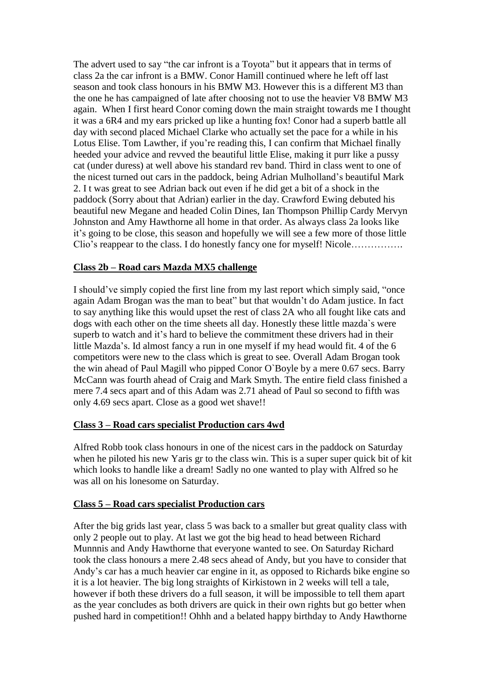The advert used to say "the car infront is a Toyota" but it appears that in terms of class 2a the car infront is a BMW. Conor Hamill continued where he left off last season and took class honours in his BMW M3. However this is a different M3 than the one he has campaigned of late after choosing not to use the heavier V8 BMW M3 again. When I first heard Conor coming down the main straight towards me I thought it was a 6R4 and my ears pricked up like a hunting fox! Conor had a superb battle all day with second placed Michael Clarke who actually set the pace for a while in his Lotus Elise. Tom Lawther, if you're reading this, I can confirm that Michael finally heeded your advice and revved the beautiful little Elise, making it purr like a pussy cat (under duress) at well above his standard rev band. Third in class went to one of the nicest turned out cars in the paddock, being Adrian Mulholland's beautiful Mark 2. I t was great to see Adrian back out even if he did get a bit of a shock in the paddock (Sorry about that Adrian) earlier in the day. Crawford Ewing debuted his beautiful new Megane and headed Colin Dines, Ian Thompson Phillip Cardy Mervyn Johnston and Amy Hawthorne all home in that order. As always class 2a looks like it's going to be close, this season and hopefully we will see a few more of those little Clio's reappear to the class. I do honestly fancy one for myself! Nicole…………….

#### **Class 2b – Road cars Mazda MX5 challenge**

I should've simply copied the first line from my last report which simply said, "once again Adam Brogan was the man to beat" but that wouldn't do Adam justice. In fact to say anything like this would upset the rest of class 2A who all fought like cats and dogs with each other on the time sheets all day. Honestly these little mazda`s were superb to watch and it's hard to believe the commitment these drivers had in their little Mazda's. Id almost fancy a run in one myself if my head would fit. 4 of the 6 competitors were new to the class which is great to see. Overall Adam Brogan took the win ahead of Paul Magill who pipped Conor O`Boyle by a mere 0.67 secs. Barry McCann was fourth ahead of Craig and Mark Smyth. The entire field class finished a mere 7.4 secs apart and of this Adam was 2.71 ahead of Paul so second to fifth was only 4.69 secs apart. Close as a good wet shave!!

### **Class 3 – Road cars specialist Production cars 4wd**

Alfred Robb took class honours in one of the nicest cars in the paddock on Saturday when he piloted his new Yaris gr to the class win. This is a super super quick bit of kit which looks to handle like a dream! Sadly no one wanted to play with Alfred so he was all on his lonesome on Saturday.

### **Class 5 – Road cars specialist Production cars**

After the big grids last year, class 5 was back to a smaller but great quality class with only 2 people out to play. At last we got the big head to head between Richard Munnnis and Andy Hawthorne that everyone wanted to see. On Saturday Richard took the class honours a mere 2.48 secs ahead of Andy, but you have to consider that Andy's car has a much heavier car engine in it, as opposed to Richards bike engine so it is a lot heavier. The big long straights of Kirkistown in 2 weeks will tell a tale, however if both these drivers do a full season, it will be impossible to tell them apart as the year concludes as both drivers are quick in their own rights but go better when pushed hard in competition!! Ohhh and a belated happy birthday to Andy Hawthorne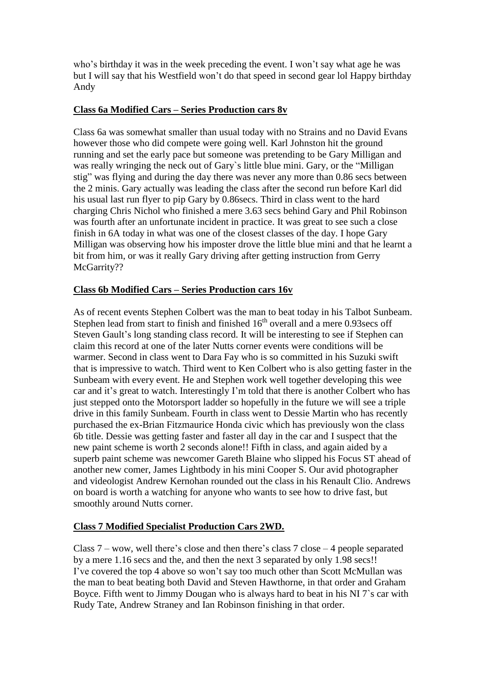who's birthday it was in the week preceding the event. I won't say what age he was but I will say that his Westfield won't do that speed in second gear lol Happy birthday Andy

### **Class 6a Modified Cars – Series Production cars 8v**

Class 6a was somewhat smaller than usual today with no Strains and no David Evans however those who did compete were going well. Karl Johnston hit the ground running and set the early pace but someone was pretending to be Gary Milligan and was really wringing the neck out of Gary`s little blue mini. Gary, or the "Milligan stig" was flying and during the day there was never any more than 0.86 secs between the 2 minis. Gary actually was leading the class after the second run before Karl did his usual last run flyer to pip Gary by 0.86secs. Third in class went to the hard charging Chris Nichol who finished a mere 3.63 secs behind Gary and Phil Robinson was fourth after an unfortunate incident in practice. It was great to see such a close finish in 6A today in what was one of the closest classes of the day. I hope Gary Milligan was observing how his imposter drove the little blue mini and that he learnt a bit from him, or was it really Gary driving after getting instruction from Gerry McGarrity??

### **Class 6b Modified Cars – Series Production cars 16v**

As of recent events Stephen Colbert was the man to beat today in his Talbot Sunbeam. Stephen lead from start to finish and finished  $16<sup>th</sup>$  overall and a mere 0.93secs off Steven Gault's long standing class record. It will be interesting to see if Stephen can claim this record at one of the later Nutts corner events were conditions will be warmer. Second in class went to Dara Fay who is so committed in his Suzuki swift that is impressive to watch. Third went to Ken Colbert who is also getting faster in the Sunbeam with every event. He and Stephen work well together developing this wee car and it's great to watch. Interestingly I'm told that there is another Colbert who has just stepped onto the Motorsport ladder so hopefully in the future we will see a triple drive in this family Sunbeam. Fourth in class went to Dessie Martin who has recently purchased the ex-Brian Fitzmaurice Honda civic which has previously won the class 6b title. Dessie was getting faster and faster all day in the car and I suspect that the new paint scheme is worth 2 seconds alone!! Fifth in class, and again aided by a superb paint scheme was newcomer Gareth Blaine who slipped his Focus ST ahead of another new comer, James Lightbody in his mini Cooper S. Our avid photographer and videologist Andrew Kernohan rounded out the class in his Renault Clio. Andrews on board is worth a watching for anyone who wants to see how to drive fast, but smoothly around Nutts corner.

#### **Class 7 Modified Specialist Production Cars 2WD.**

Class 7 – wow, well there's close and then there's class 7 close – 4 people separated by a mere 1.16 secs and the, and then the next 3 separated by only 1.98 secs!! I've covered the top 4 above so won't say too much other than Scott McMullan was the man to beat beating both David and Steven Hawthorne, in that order and Graham Boyce. Fifth went to Jimmy Dougan who is always hard to beat in his NI 7`s car with Rudy Tate, Andrew Straney and Ian Robinson finishing in that order.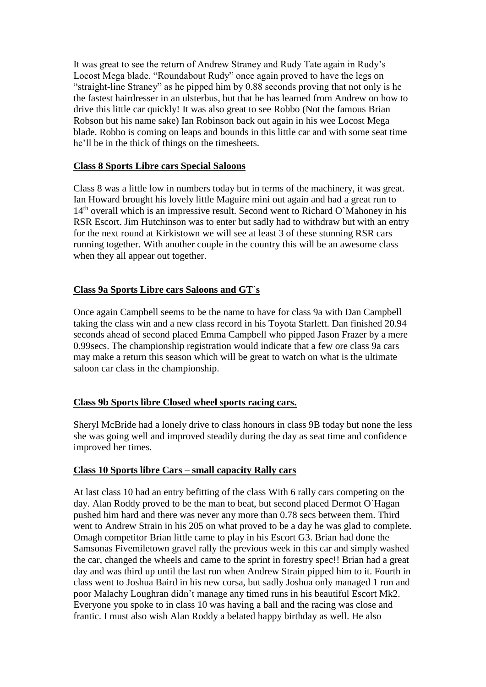It was great to see the return of Andrew Straney and Rudy Tate again in Rudy's Locost Mega blade. "Roundabout Rudy" once again proved to have the legs on "straight-line Straney" as he pipped him by 0.88 seconds proving that not only is he the fastest hairdresser in an ulsterbus, but that he has learned from Andrew on how to drive this little car quickly! It was also great to see Robbo (Not the famous Brian Robson but his name sake) Ian Robinson back out again in his wee Locost Mega blade. Robbo is coming on leaps and bounds in this little car and with some seat time he'll be in the thick of things on the timesheets.

#### **Class 8 Sports Libre cars Special Saloons**

Class 8 was a little low in numbers today but in terms of the machinery, it was great. Ian Howard brought his lovely little Maguire mini out again and had a great run to  $14<sup>th</sup>$  overall which is an impressive result. Second went to Richard O`Mahoney in his RSR Escort. Jim Hutchinson was to enter but sadly had to withdraw but with an entry for the next round at Kirkistown we will see at least 3 of these stunning RSR cars running together. With another couple in the country this will be an awesome class when they all appear out together.

### **Class 9a Sports Libre cars Saloons and GT`s**

Once again Campbell seems to be the name to have for class 9a with Dan Campbell taking the class win and a new class record in his Toyota Starlett. Dan finished 20.94 seconds ahead of second placed Emma Campbell who pipped Jason Frazer by a mere 0.99secs. The championship registration would indicate that a few ore class 9a cars may make a return this season which will be great to watch on what is the ultimate saloon car class in the championship.

#### **Class 9b Sports libre Closed wheel sports racing cars.**

Sheryl McBride had a lonely drive to class honours in class 9B today but none the less she was going well and improved steadily during the day as seat time and confidence improved her times.

### **Class 10 Sports libre Cars – small capacity Rally cars**

At last class 10 had an entry befitting of the class With 6 rally cars competing on the day. Alan Roddy proved to be the man to beat, but second placed Dermot O`Hagan pushed him hard and there was never any more than 0.78 secs between them. Third went to Andrew Strain in his 205 on what proved to be a day he was glad to complete. Omagh competitor Brian little came to play in his Escort G3. Brian had done the Samsonas Fivemiletown gravel rally the previous week in this car and simply washed the car, changed the wheels and came to the sprint in forestry spec!! Brian had a great day and was third up until the last run when Andrew Strain pipped him to it. Fourth in class went to Joshua Baird in his new corsa, but sadly Joshua only managed 1 run and poor Malachy Loughran didn't manage any timed runs in his beautiful Escort Mk2. Everyone you spoke to in class 10 was having a ball and the racing was close and frantic. I must also wish Alan Roddy a belated happy birthday as well. He also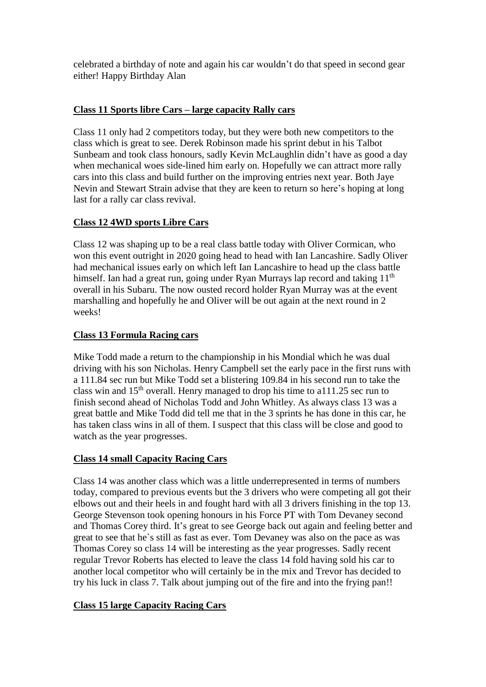celebrated a birthday of note and again his car wouldn't do that speed in second gear either! Happy Birthday Alan

# **Class 11 Sports libre Cars – large capacity Rally cars**

Class 11 only had 2 competitors today, but they were both new competitors to the class which is great to see. Derek Robinson made his sprint debut in his Talbot Sunbeam and took class honours, sadly Kevin McLaughlin didn't have as good a day when mechanical woes side-lined him early on. Hopefully we can attract more rally cars into this class and build further on the improving entries next year. Both Jaye Nevin and Stewart Strain advise that they are keen to return so here's hoping at long last for a rally car class revival.

# **Class 12 4WD sports Libre Cars**

Class 12 was shaping up to be a real class battle today with Oliver Cormican, who won this event outright in 2020 going head to head with Ian Lancashire. Sadly Oliver had mechanical issues early on which left Ian Lancashire to head up the class battle himself. Ian had a great run, going under Ryan Murrays lap record and taking 11<sup>th</sup> overall in his Subaru. The now ousted record holder Ryan Murray was at the event marshalling and hopefully he and Oliver will be out again at the next round in 2 weeks!

# **Class 13 Formula Racing cars**

Mike Todd made a return to the championship in his Mondial which he was dual driving with his son Nicholas. Henry Campbell set the early pace in the first runs with a 111.84 sec run but Mike Todd set a blistering 109.84 in his second run to take the class win and  $15<sup>th</sup>$  overall. Henry managed to drop his time to a111.25 sec run to finish second ahead of Nicholas Todd and John Whitley. As always class 13 was a great battle and Mike Todd did tell me that in the 3 sprints he has done in this car, he has taken class wins in all of them. I suspect that this class will be close and good to watch as the year progresses.

### **Class 14 small Capacity Racing Cars**

Class 14 was another class which was a little underrepresented in terms of numbers today, compared to previous events but the 3 drivers who were competing all got their elbows out and their heels in and fought hard with all 3 drivers finishing in the top 13. George Stevenson took opening honours in his Force PT with Tom Devaney second and Thomas Corey third. It's great to see George back out again and feeling better and great to see that he`s still as fast as ever. Tom Devaney was also on the pace as was Thomas Corey so class 14 will be interesting as the year progresses. Sadly recent regular Trevor Roberts has elected to leave the class 14 fold having sold his car to another local competitor who will certainly be in the mix and Trevor has decided to try his luck in class 7. Talk about jumping out of the fire and into the frying pan!!

# **Class 15 large Capacity Racing Cars**